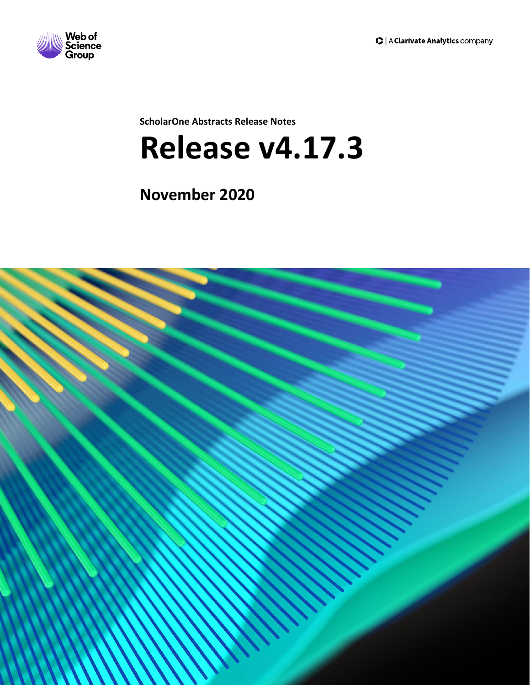

**ScholarOne Abstracts Release Notes**

# **Release v4.17.3**

**November 2020**

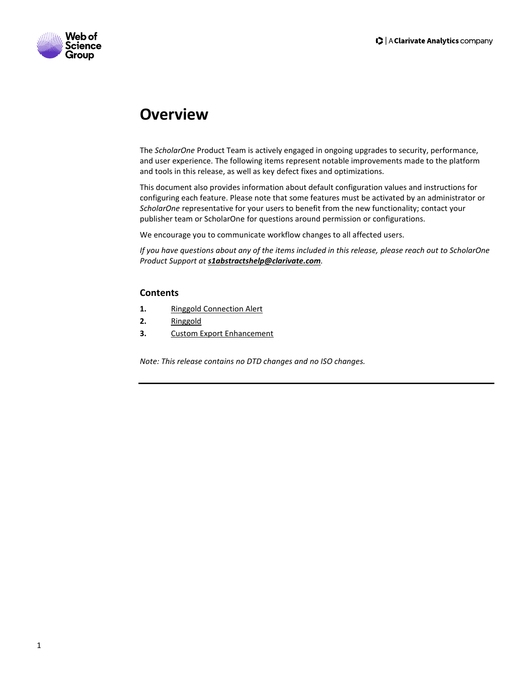

# **Overview**

The *ScholarOne* Product Team is actively engaged in ongoing upgrades to security, performance, and user experience. The following items represent notable improvements made to the platform and tools in this release, as well as key defect fixes and optimizations.

This document also provides information about default configuration values and instructions for configuring each feature. Please note that some features must be activated by an administrator or *ScholarOne* representative for your users to benefit from the new functionality; contact your publisher team or ScholarOne for questions around permission or configurations.

We encourage you to communicate workflow changes to all affected users.

*If you have questions about any of the items included in this release, please reach out to ScholarOne Product Support at [s1abstractshelp@clarivate.com](mailto:s1abstractshelp@clarivate.com).* 

#### **Contents**

- 1. [Ringgold Connection Alert](#page-2-0)
- **2.** [Ringgold](#page-3-0)
- **3.** [Custom Export Enhancement](#page-3-1)

*Note: This release contains no DTD changes and no ISO changes.*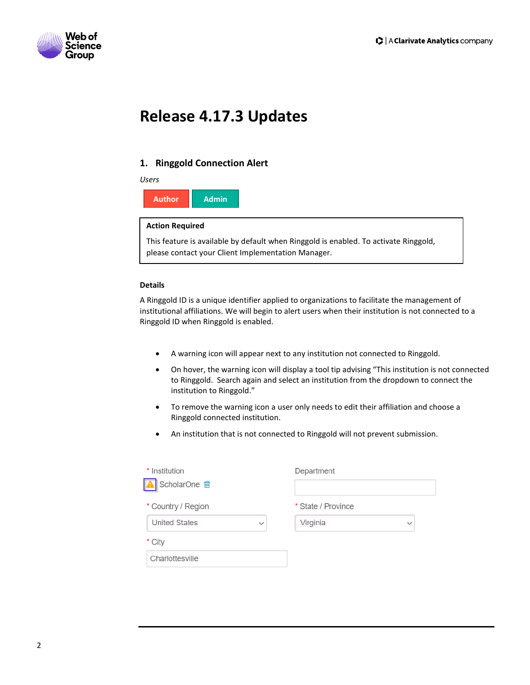

# **Release 4.17.3 Updates**

### <span id="page-2-0"></span>**1. Ringgold Connection Alert**

#### *Users*

**Author Admin**

#### **Action Required**

This feature is available by default when Ringgold is enabled. To activate Ringgold, please contact your Client Implementation Manager.

#### **Details**

A Ringgold ID is a unique identifier applied to organizations to facilitate the management of institutional affiliations. We will begin to alert users when their institution is not connected to a Ringgold ID when Ringgold is enabled.

- A warning icon will appear next to any institution not connected to Ringgold.
- On hover, the warning icon will display a tool tip advising "This institution is not connected to Ringgold. Search again and select an institution from the dropdown to connect the institution to Ringgold."
- To remove the warning icon a user only needs to edit their affiliation and choose a Ringgold connected institution.
- An institution that is not connected to Ringgold will not prevent submission.

| * Institution                        | Department               |
|--------------------------------------|--------------------------|
| ScholarOne <b>向</b>                  |                          |
| * Country / Region                   | * State / Province       |
| <b>United States</b><br>$\checkmark$ | Virginia<br>$\checkmark$ |
| * City                               |                          |
| Charlottesville                      |                          |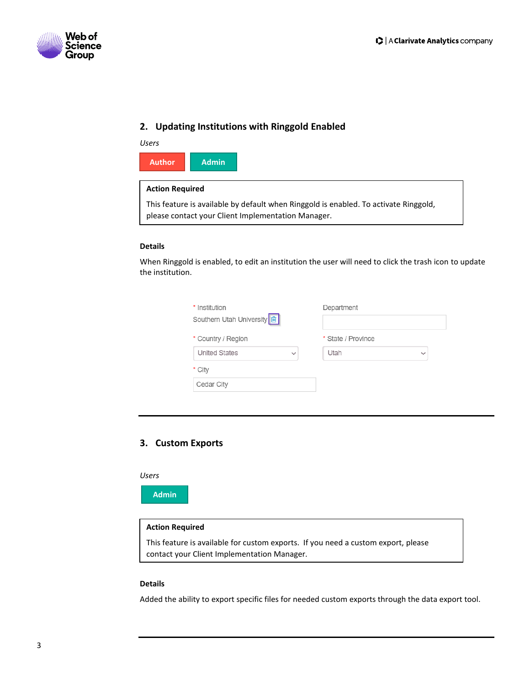

### <span id="page-3-0"></span>**2. Updating Institutions with Ringgold Enabled**

| Users                                                                                                                                      |              |
|--------------------------------------------------------------------------------------------------------------------------------------------|--------------|
| <b>Author</b>                                                                                                                              | <b>Admin</b> |
| <b>Action Required</b>                                                                                                                     |              |
| This feature is available by default when Ringgold is enabled. To activate Ringgold,<br>please contact your Client Implementation Manager. |              |

#### **Details**

When Ringgold is enabled, to edit an institution the user will need to click the trash icon to update the institution.

| * Institution<br>Southern Utah University <b>面</b>         | Department                                 |
|------------------------------------------------------------|--------------------------------------------|
| * Country / Region<br><b>United States</b><br>$\checkmark$ | * State / Province<br>Utah<br>$\checkmark$ |
| * City                                                     |                                            |
| Cedar City                                                 |                                            |

### <span id="page-3-1"></span>**3. Custom Exports**

*Users*

**Admin**

#### **Action Required**

This feature is available for custom exports. If you need a custom export, please contact your Client Implementation Manager.

#### **Details**

Added the ability to export specific files for needed custom exports through the data export tool.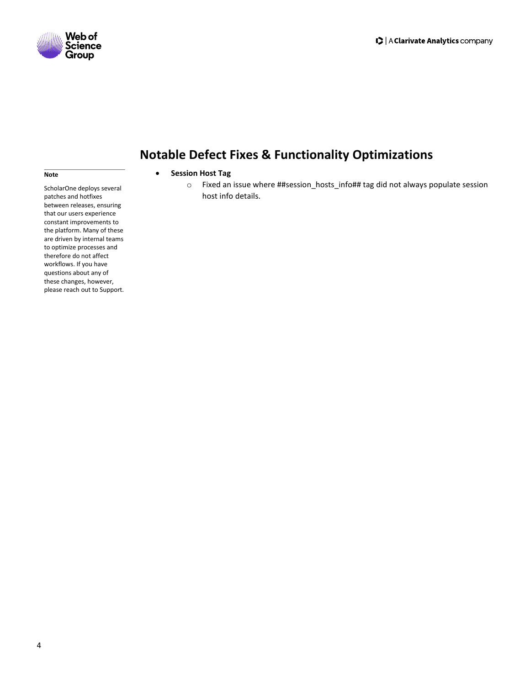



**Note**

## **Notable Defect Fixes & Functionality Optimizations**

#### • **Session Host Tag**

o Fixed an issue where ##session\_hosts\_info## tag did not always populate session host info details.

ScholarOne deploys several patches and hotfixes between releases, ensuring that our users experience constant improvements to the platform. Many of these are driven by internal teams to optimize processes and therefore do not affect workflows. If you have questions about any of these changes, however, please reach out to Support.